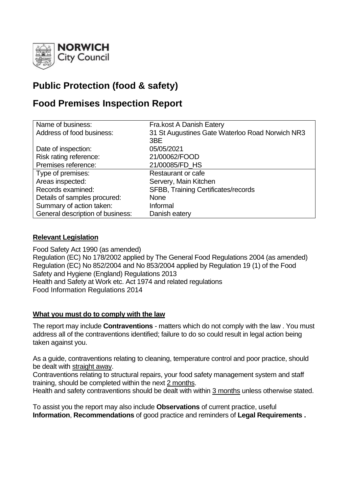

# **Public Protection (food & safety)**

# **Food Premises Inspection Report**

| Name of business:                | Fra.kost A Danish Eatery                        |
|----------------------------------|-------------------------------------------------|
| Address of food business:        | 31 St Augustines Gate Waterloo Road Norwich NR3 |
|                                  | 3BE                                             |
| Date of inspection:              | 05/05/2021                                      |
| Risk rating reference:           | 21/00062/FOOD                                   |
| Premises reference:              | 21/00085/FD_HS                                  |
| Type of premises:                | Restaurant or cafe                              |
| Areas inspected:                 | Servery, Main Kitchen                           |
| Records examined:                | SFBB, Training Certificates/records             |
| Details of samples procured:     | <b>None</b>                                     |
| Summary of action taken:         | Informal                                        |
| General description of business: | Danish eatery                                   |

# **Relevant Legislation**

Food Safety Act 1990 (as amended) Regulation (EC) No 178/2002 applied by The General Food Regulations 2004 (as amended) Regulation (EC) No 852/2004 and No 853/2004 applied by Regulation 19 (1) of the Food Safety and Hygiene (England) Regulations 2013 Health and Safety at Work etc. Act 1974 and related regulations Food Information Regulations 2014

### **What you must do to comply with the law**

The report may include **Contraventions** - matters which do not comply with the law . You must address all of the contraventions identified; failure to do so could result in legal action being taken against you.

As a guide, contraventions relating to cleaning, temperature control and poor practice, should be dealt with straight away.

Contraventions relating to structural repairs, your food safety management system and staff training, should be completed within the next 2 months.

Health and safety contraventions should be dealt with within 3 months unless otherwise stated.

To assist you the report may also include **Observations** of current practice, useful **Information**, **Recommendations** of good practice and reminders of **Legal Requirements .**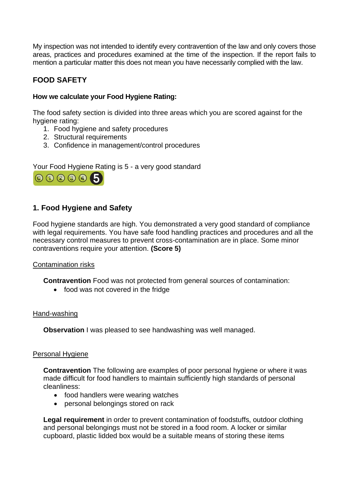My inspection was not intended to identify every contravention of the law and only covers those areas, practices and procedures examined at the time of the inspection. If the report fails to mention a particular matter this does not mean you have necessarily complied with the law.

# **FOOD SAFETY**

## **How we calculate your Food Hygiene Rating:**

The food safety section is divided into three areas which you are scored against for the hygiene rating:

- 1. Food hygiene and safety procedures
- 2. Structural requirements
- 3. Confidence in management/control procedures

Your Food Hygiene Rating is 5 - a very good standard



# **1. Food Hygiene and Safety**

Food hygiene standards are high. You demonstrated a very good standard of compliance with legal requirements. You have safe food handling practices and procedures and all the necessary control measures to prevent cross-contamination are in place. Some minor contraventions require your attention. **(Score 5)**

### Contamination risks

**Contravention** Food was not protected from general sources of contamination:

• food was not covered in the fridge

### Hand-washing

**Observation** I was pleased to see handwashing was well managed.

### Personal Hygiene

**Contravention** The following are examples of poor personal hygiene or where it was made difficult for food handlers to maintain sufficiently high standards of personal cleanliness:

- food handlers were wearing watches
- personal belongings stored on rack

**Legal requirement** in order to prevent contamination of foodstuffs, outdoor clothing and personal belongings must not be stored in a food room. A locker or similar cupboard, plastic lidded box would be a suitable means of storing these items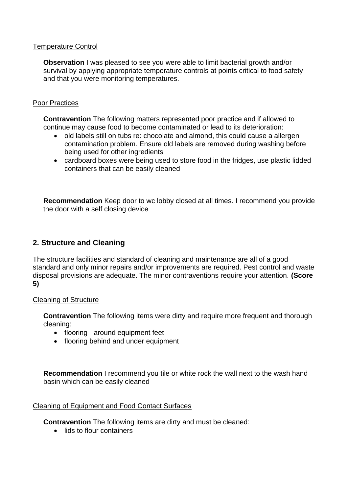### Temperature Control

**Observation** I was pleased to see you were able to limit bacterial growth and/or survival by applying appropriate temperature controls at points critical to food safety and that you were monitoring temperatures.

### Poor Practices

**Contravention** The following matters represented poor practice and if allowed to continue may cause food to become contaminated or lead to its deterioration:

- old labels still on tubs re: chocolate and almond, this could cause a allergen contamination problem. Ensure old labels are removed during washing before being used for other ingredients
- cardboard boxes were being used to store food in the fridges, use plastic lidded containers that can be easily cleaned

**Recommendation** Keep door to wc lobby closed at all times. I recommend you provide the door with a self closing device

# **2. Structure and Cleaning**

The structure facilities and standard of cleaning and maintenance are all of a good standard and only minor repairs and/or improvements are required. Pest control and waste disposal provisions are adequate. The minor contraventions require your attention. **(Score 5)**

### Cleaning of Structure

**Contravention** The following items were dirty and require more frequent and thorough cleaning:

- flooring around equipment feet
- flooring behind and under equipment

**Recommendation** I recommend you tile or white rock the wall next to the wash hand basin which can be easily cleaned

### Cleaning of Equipment and Food Contact Surfaces

**Contravention** The following items are dirty and must be cleaned:

• lids to flour containers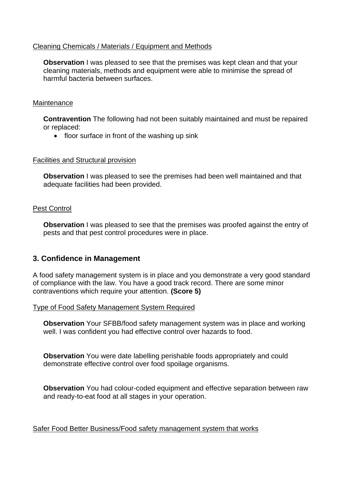### Cleaning Chemicals / Materials / Equipment and Methods

**Observation** I was pleased to see that the premises was kept clean and that your cleaning materials, methods and equipment were able to minimise the spread of harmful bacteria between surfaces.

### **Maintenance**

**Contravention** The following had not been suitably maintained and must be repaired or replaced:

• floor surface in front of the washing up sink

#### Facilities and Structural provision

**Observation** I was pleased to see the premises had been well maintained and that adequate facilities had been provided.

### Pest Control

**Observation** I was pleased to see that the premises was proofed against the entry of pests and that pest control procedures were in place.

# **3. Confidence in Management**

A food safety management system is in place and you demonstrate a very good standard of compliance with the law. You have a good track record. There are some minor contraventions which require your attention. **(Score 5)**

### Type of Food Safety Management System Required

**Observation** Your SFBB/food safety management system was in place and working well. I was confident you had effective control over hazards to food.

**Observation** You were date labelling perishable foods appropriately and could demonstrate effective control over food spoilage organisms.

**Observation** You had colour-coded equipment and effective separation between raw and ready-to-eat food at all stages in your operation.

Safer Food Better Business/Food safety management system that works